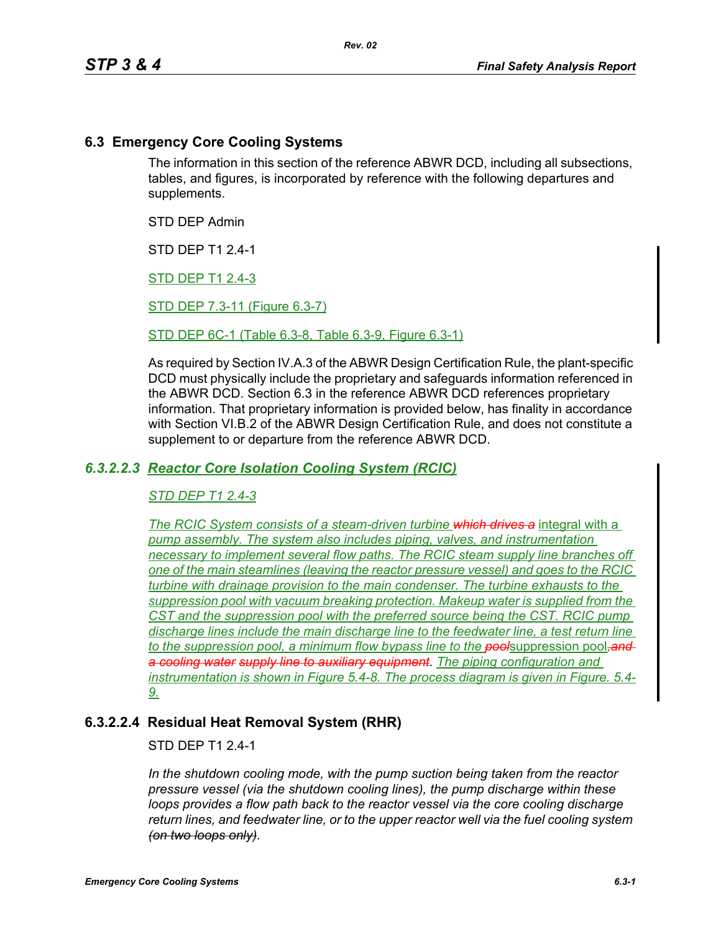# **6.3 Emergency Core Cooling Systems**

The information in this section of the reference ABWR DCD, including all subsections, tables, and figures, is incorporated by reference with the following departures and supplements.

STD DEP Admin

STD DEP T1 2.4-1

STD DEP T1 2.4-3

STD DEP 7.3-11 (Figure 6.3-7)

STD DEP 6C-1 (Table 6.3-8, Table 6.3-9, Figure 6.3-1)

As required by Section IV.A.3 of the ABWR Design Certification Rule, the plant-specific DCD must physically include the proprietary and safeguards information referenced in the ABWR DCD. Section 6.3 in the reference ABWR DCD references proprietary information. That proprietary information is provided below, has finality in accordance with Section VI.B.2 of the ABWR Design Certification Rule, and does not constitute a supplement to or departure from the reference ABWR DCD.

## *6.3.2.2.3 Reactor Core Isolation Cooling System (RCIC)*

### *STD DEP T1 2.4-3*

*The RCIC System consists of a steam-driven turbine which drives a* integral with a *pump assembly. The system also includes piping, valves, and instrumentation necessary to implement several flow paths. The RCIC steam supply line branches off one of the main steamlines (leaving the reactor pressure vessel) and goes to the RCIC turbine with drainage provision to the main condenser. The turbine exhausts to the suppression pool with vacuum breaking protection. Makeup water is supplied from the CST and the suppression pool with the preferred source being the CST. RCIC pump discharge lines include the main discharge line to the feedwater line, a test return line to the suppression pool, a minimum flow bypass line to the pool*suppression pool*,and a cooling water supply line to auxiliary equipment. The piping configuration and instrumentation is shown in Figure 5.4-8. The process diagram is given in Figure. 5.4- 9.*

# **6.3.2.2.4 Residual Heat Removal System (RHR)**

### STD DEP T1 2.4-1

*In the shutdown cooling mode, with the pump suction being taken from the reactor pressure vessel (via the shutdown cooling lines), the pump discharge within these loops provides a flow path back to the reactor vessel via the core cooling discharge return lines, and feedwater line, or to the upper reactor well via the fuel cooling system (on two loops only).*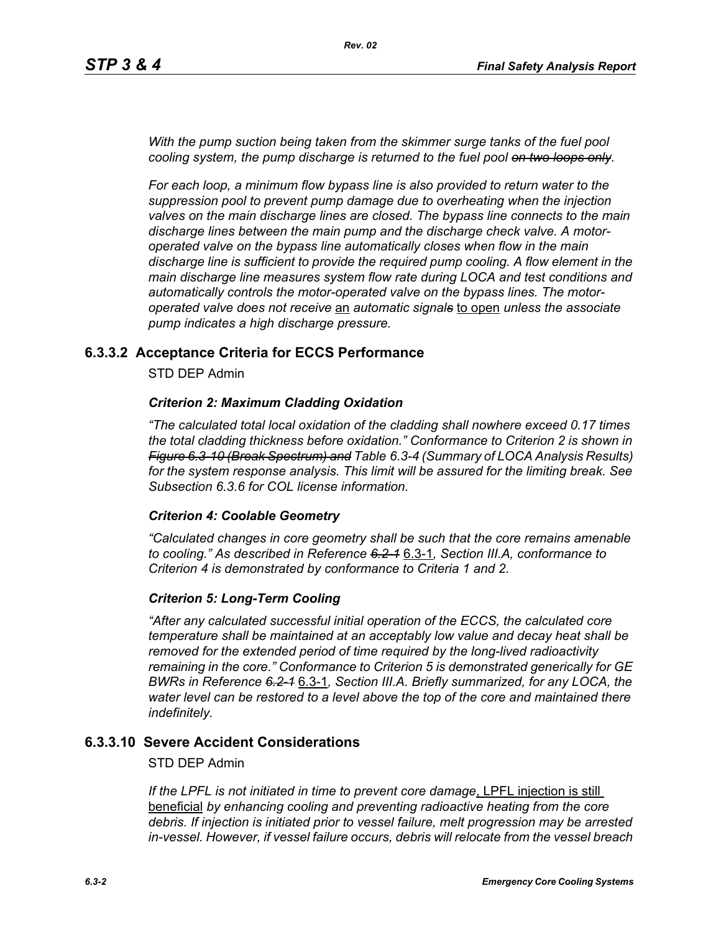*With the pump suction being taken from the skimmer surge tanks of the fuel pool cooling system, the pump discharge is returned to the fuel pool on two loops only.*

*For each loop, a minimum flow bypass line is also provided to return water to the suppression pool to prevent pump damage due to overheating when the injection valves on the main discharge lines are closed. The bypass line connects to the main discharge lines between the main pump and the discharge check valve. A motoroperated valve on the bypass line automatically closes when flow in the main discharge line is sufficient to provide the required pump cooling. A flow element in the main discharge line measures system flow rate during LOCA and test conditions and automatically controls the motor-operated valve on the bypass lines. The motoroperated valve does not receive* an *automatic signals* to open *unless the associate pump indicates a high discharge pressure.*

## **6.3.3.2 Acceptance Criteria for ECCS Performance**

STD DEP Admin

### *Criterion 2: Maximum Cladding Oxidation*

*"The calculated total local oxidation of the cladding shall nowhere exceed 0.17 times the total cladding thickness before oxidation." Conformance to Criterion 2 is shown in Figure 6.3-10 (Break Spectrum) and Table 6.3-4 (Summary of LOCA Analysis Results) for the system response analysis. This limit will be assured for the limiting break. See Subsection [6.3.6](#page-2-0) for COL license information.*

### *Criterion 4: Coolable Geometry*

*"Calculated changes in core geometry shall be such that the core remains amenable to cooling." As described in Reference 6.2-1* 6.3-1*, Section III.A, conformance to Criterion 4 is demonstrated by conformance to Criteria 1 and 2.*

### *Criterion 5: Long-Term Cooling*

*"After any calculated successful initial operation of the ECCS, the calculated core temperature shall be maintained at an acceptably low value and decay heat shall be removed for the extended period of time required by the long-lived radioactivity remaining in the core." Conformance to Criterion 5 is demonstrated generically for GE BWRs in Reference 6.2-1* 6.3-1*, Section III.A. Briefly summarized, for any LOCA, the water level can be restored to a level above the top of the core and maintained there indefinitely.*

## **6.3.3.10 Severe Accident Considerations**

### STD DEP Admin

*If the LPFL is not initiated in time to prevent core damage*, LPFL injection is still beneficial *by enhancing cooling and preventing radioactive heating from the core debris. If injection is initiated prior to vessel failure, melt progression may be arrested in-vessel. However, if vessel failure occurs, debris will relocate from the vessel breach*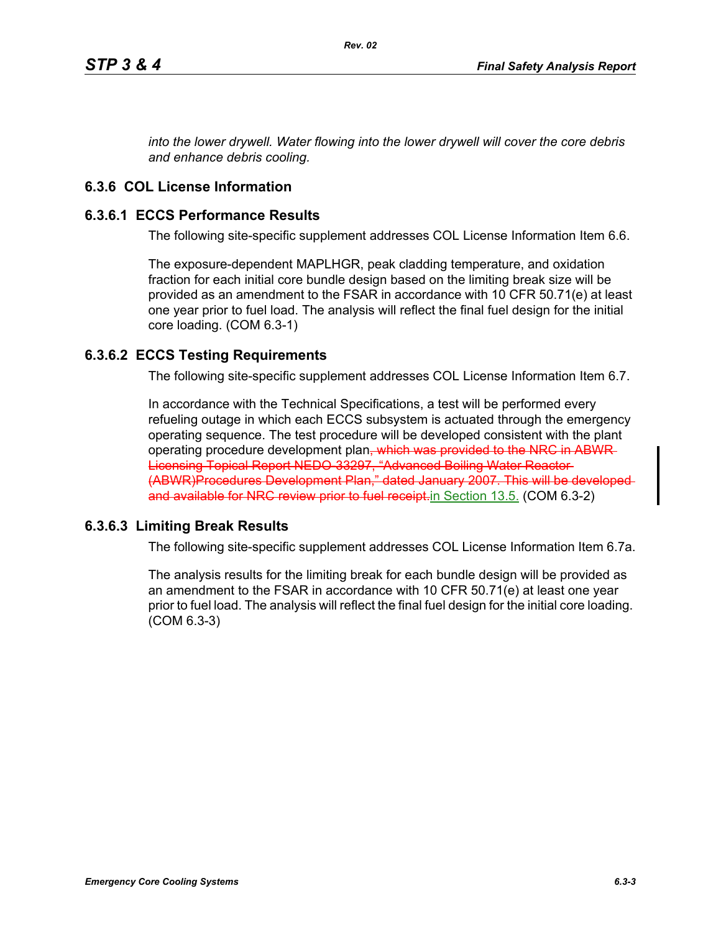*into the lower drywell. Water flowing into the lower drywell will cover the core debris and enhance debris cooling.*

# <span id="page-2-0"></span>**6.3.6 COL License Information**

## **6.3.6.1 ECCS Performance Results**

The following site-specific supplement addresses COL License Information Item 6.6.

The exposure-dependent MAPLHGR, peak cladding temperature, and oxidation fraction for each initial core bundle design based on the limiting break size will be provided as an amendment to the FSAR in accordance with 10 CFR 50.71(e) at least one year prior to fuel load. The analysis will reflect the final fuel design for the initial core loading. (COM 6.3-1)

# **6.3.6.2 ECCS Testing Requirements**

The following site-specific supplement addresses COL License Information Item 6.7.

In accordance with the Technical Specifications, a test will be performed every refueling outage in which each ECCS subsystem is actuated through the emergency operating sequence. The test procedure will be developed consistent with the plant operating procedure development plan<del>, which was provided to the NRC in ABWR</del> Licensing Topical Report NEDO-33297, "Advanced Boiling Water Reactor (ABWR)Procedures Development Plan," dated January 2007. This will be developed and available for NRC review prior to fuel receipt. in Section 13.5. (COM 6.3-2)

### **6.3.6.3 Limiting Break Results**

The following site-specific supplement addresses COL License Information Item 6.7a.

The analysis results for the limiting break for each bundle design will be provided as an amendment to the FSAR in accordance with 10 CFR 50.71(e) at least one year prior to fuel load. The analysis will reflect the final fuel design for the initial core loading. (COM 6.3-3)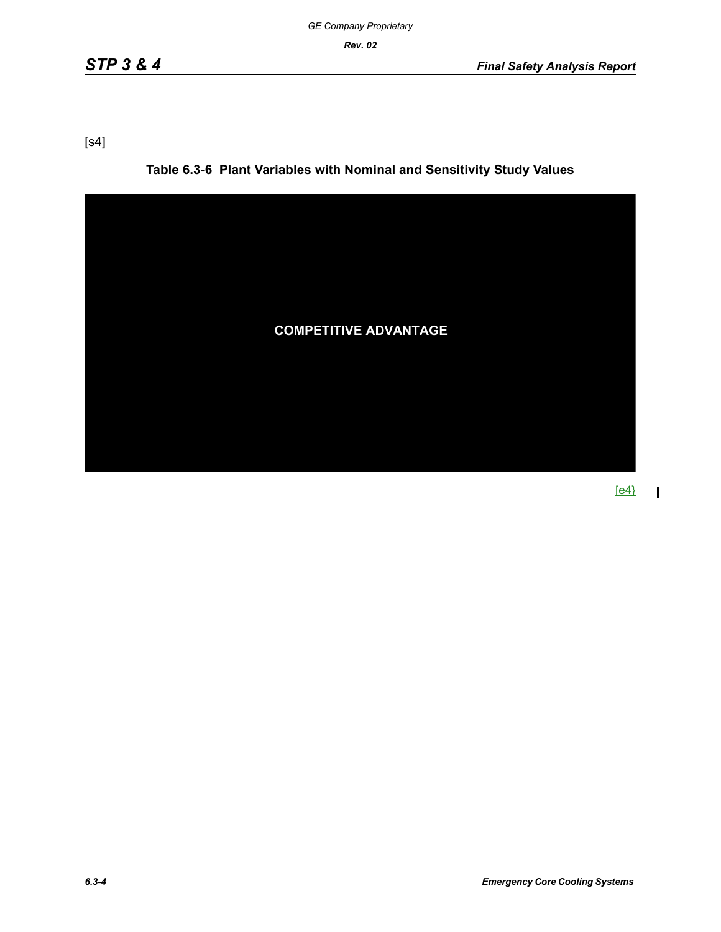[s4]

**Table 6.3-6 Plant Variables with Nominal and Sensitivity Study Values**



[e4}

 $\mathbf{I}$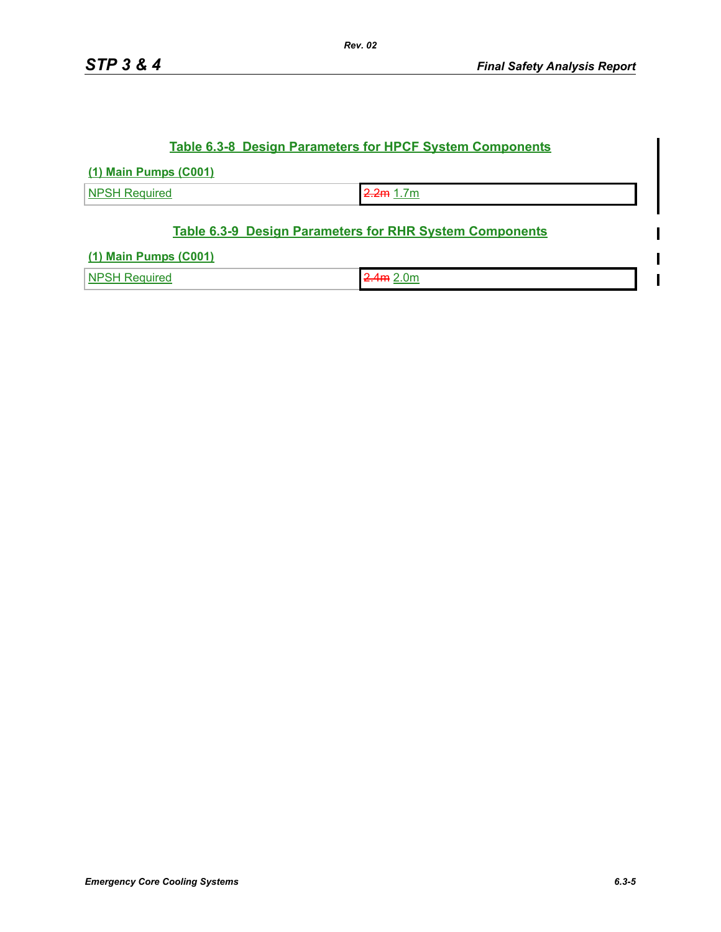$\blacksquare$ 

## **Table 6.3-8 Design Parameters for HPCF System Components**

#### **(1) Main Pumps (C001)**

NPSH Required 2.2m 1.7m

## **Table 6.3-9 Design Parameters for RHR System Components**

### **(1) Main Pumps (C001)**

| Nŀ | )n<br>___<br>the contract of the contract of the |  |
|----|--------------------------------------------------|--|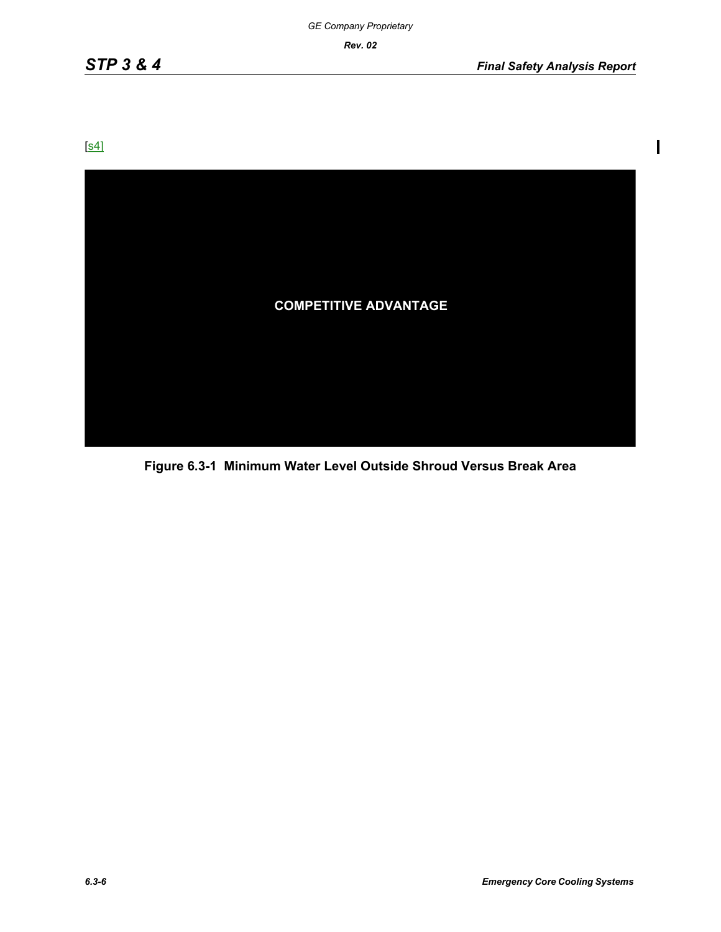$\mathbf{l}$ 

[s4]



**Figure 6.3-1 Minimum Water Level Outside Shroud Versus Break Area**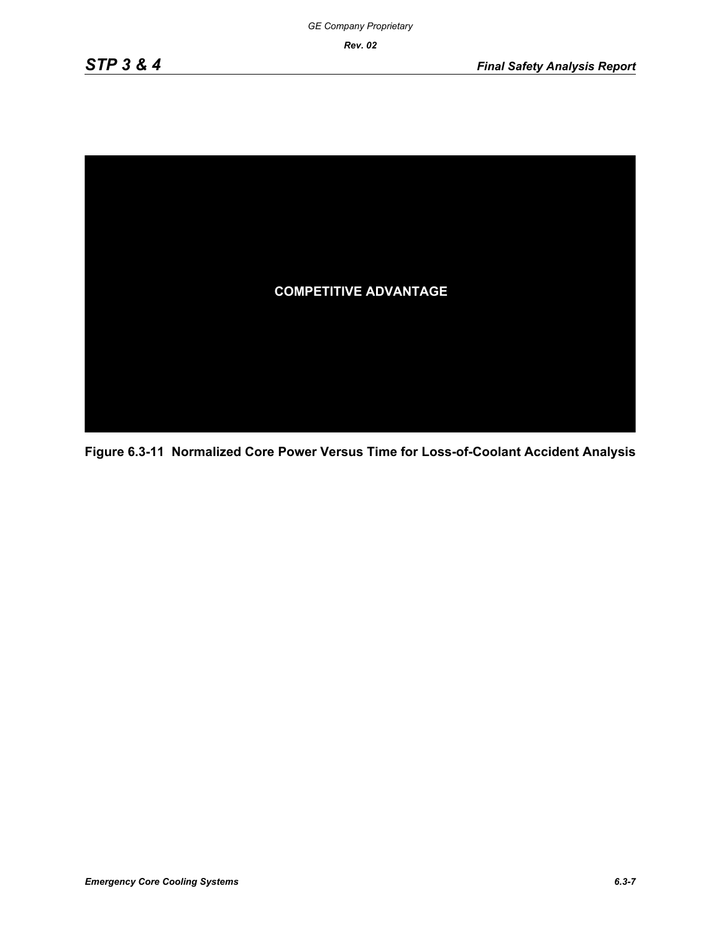

**Figure 6.3-11 Normalized Core Power Versus Time for Loss-of-Coolant Accident Analysis**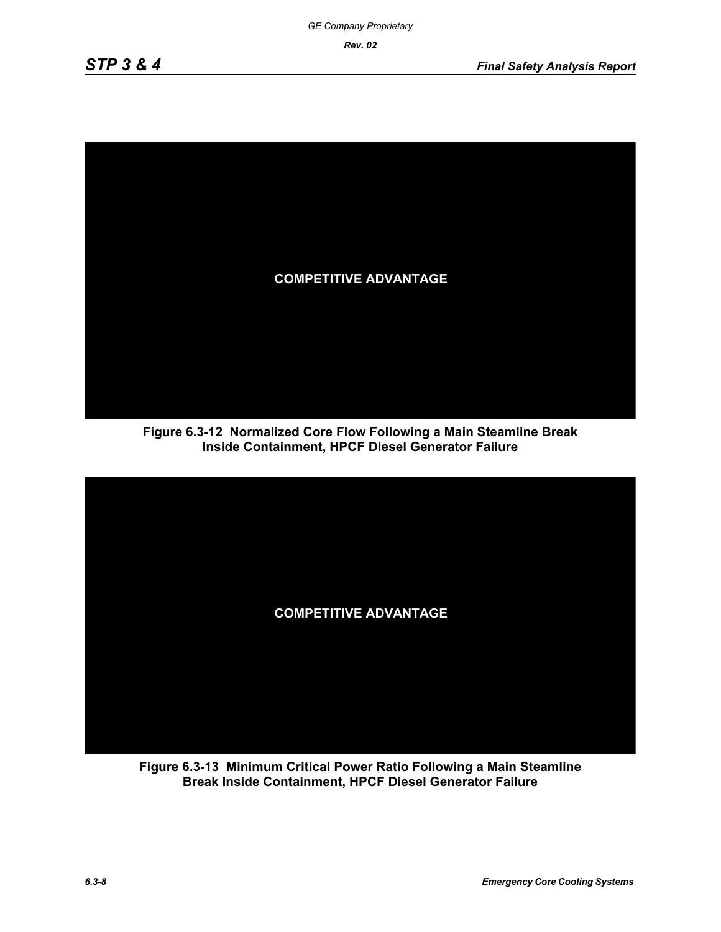

**Figure 6.3-12 Normalized Core Flow Following a Main Steamline Break Inside Containment, HPCF Diesel Generator Failure**



**Figure 6.3-13 Minimum Critical Power Ratio Following a Main Steamline Break Inside Containment, HPCF Diesel Generator Failure**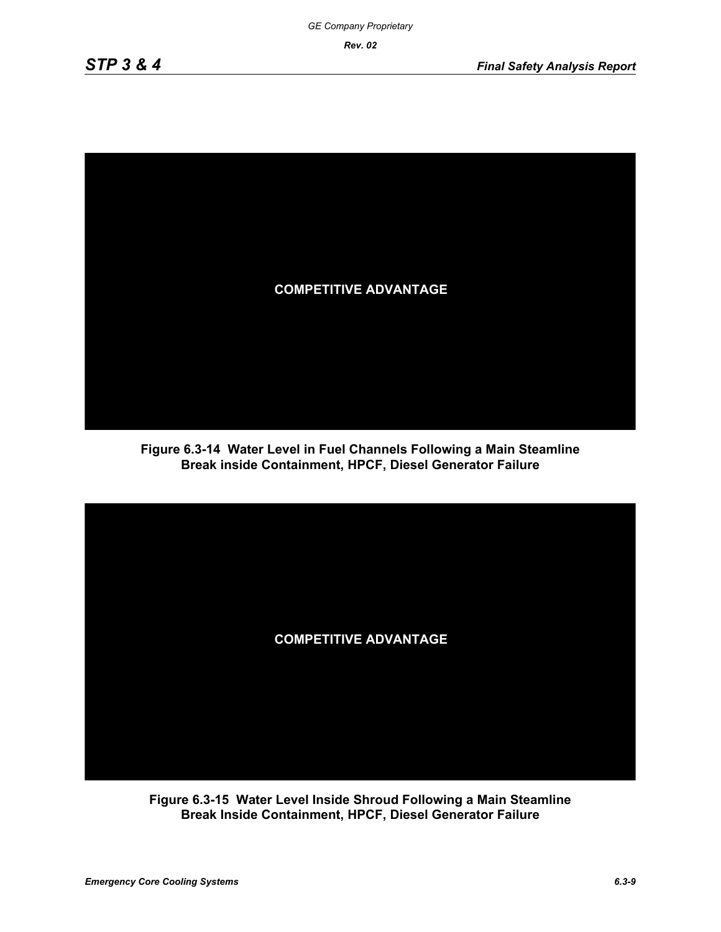

**Figure 6.3-14 Water Level in Fuel Channels Following a Main Steamline Break inside Containment, HPCF, Diesel Generator Failure**



**Figure 6.3-15 Water Level Inside Shroud Following a Main Steamline Break Inside Containment, HPCF, Diesel Generator Failure**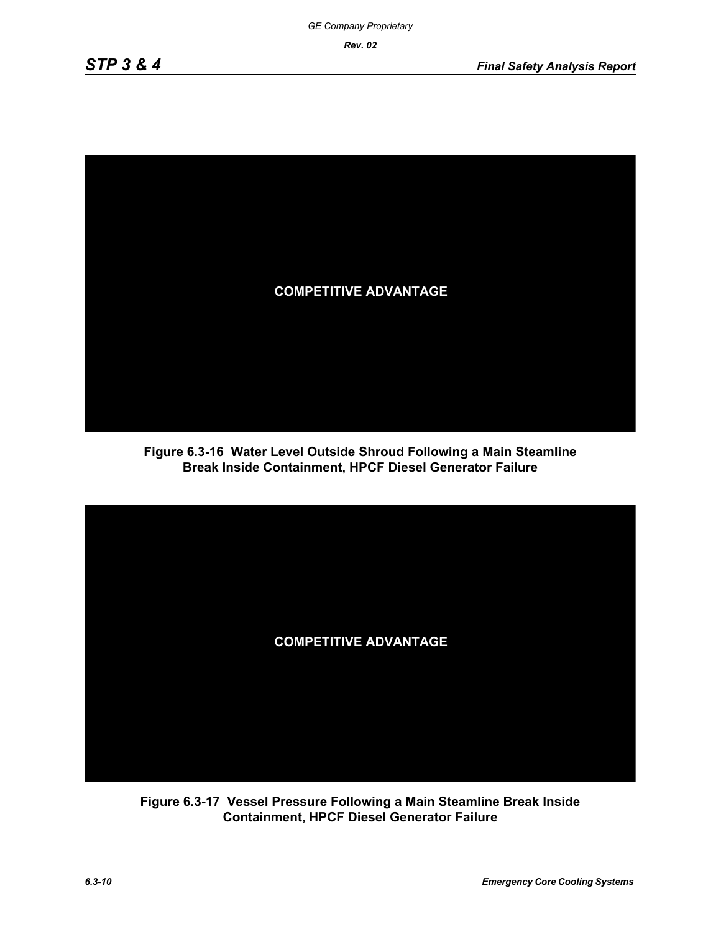

**Figure 6.3-16 Water Level Outside Shroud Following a Main Steamline Break Inside Containment, HPCF Diesel Generator Failure**



**Figure 6.3-17 Vessel Pressure Following a Main Steamline Break Inside Containment, HPCF Diesel Generator Failure**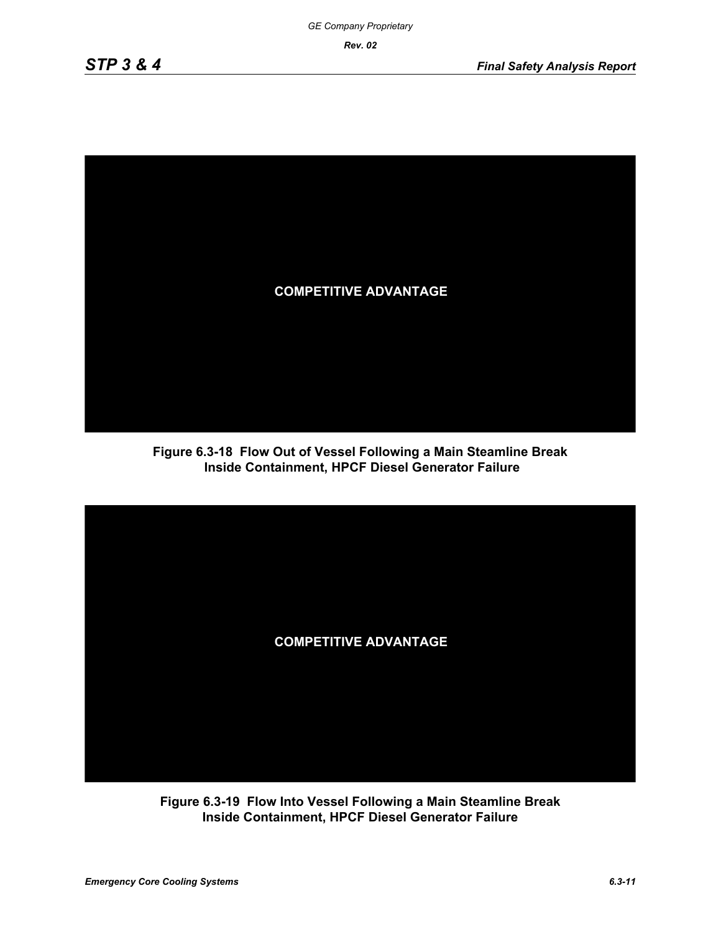

**Figure 6.3-18 Flow Out of Vessel Following a Main Steamline Break Inside Containment, HPCF Diesel Generator Failure**



**Figure 6.3-19 Flow Into Vessel Following a Main Steamline Break Inside Containment, HPCF Diesel Generator Failure**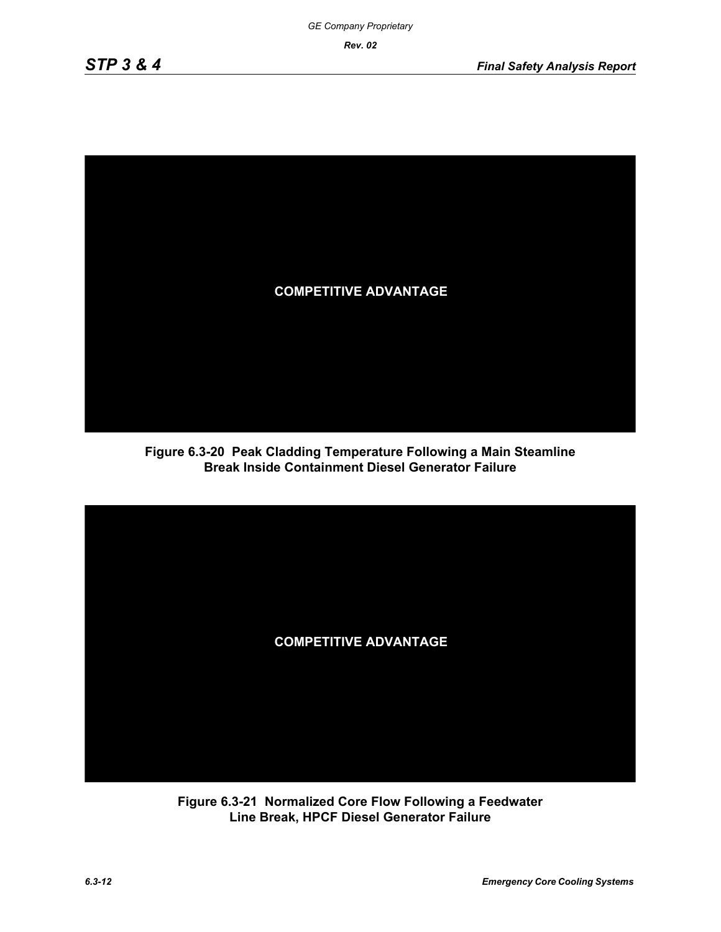

**Figure 6.3-20 Peak Cladding Temperature Following a Main Steamline Break Inside Containment Diesel Generator Failure**



**Figure 6.3-21 Normalized Core Flow Following a Feedwater Line Break, HPCF Diesel Generator Failure**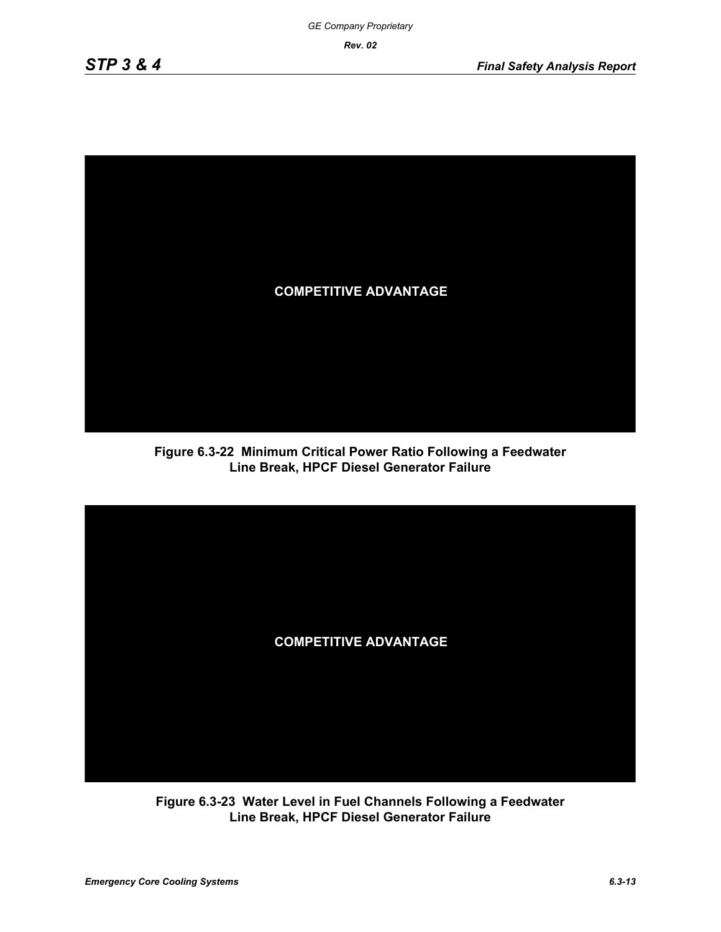

**Figure 6.3-22 Minimum Critical Power Ratio Following a Feedwater Line Break, HPCF Diesel Generator Failure**



**Figure 6.3-23 Water Level in Fuel Channels Following a Feedwater Line Break, HPCF Diesel Generator Failure**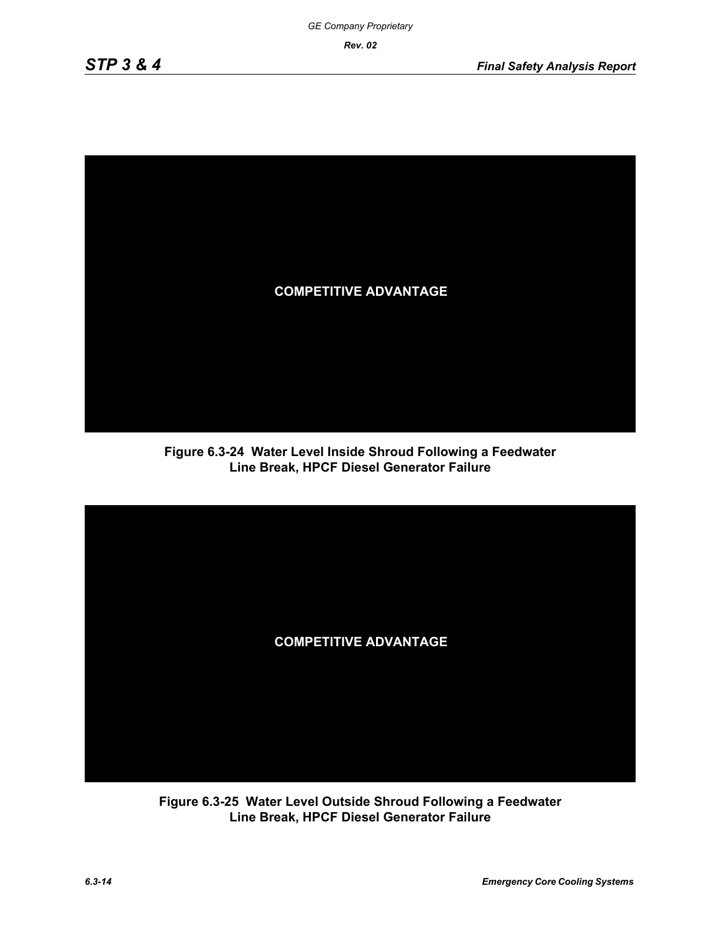

**Figure 6.3-24 Water Level Inside Shroud Following a Feedwater Line Break, HPCF Diesel Generator Failure**



**Figure 6.3-25 Water Level Outside Shroud Following a Feedwater Line Break, HPCF Diesel Generator Failure**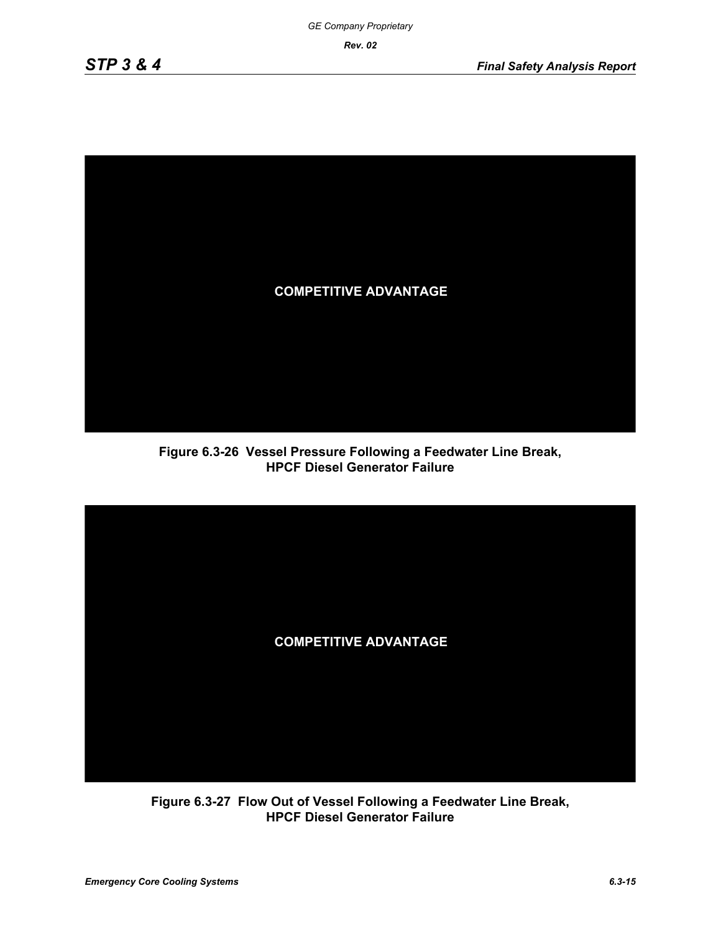

**Figure 6.3-26 Vessel Pressure Following a Feedwater Line Break, HPCF Diesel Generator Failure**



**Figure 6.3-27 Flow Out of Vessel Following a Feedwater Line Break, HPCF Diesel Generator Failure**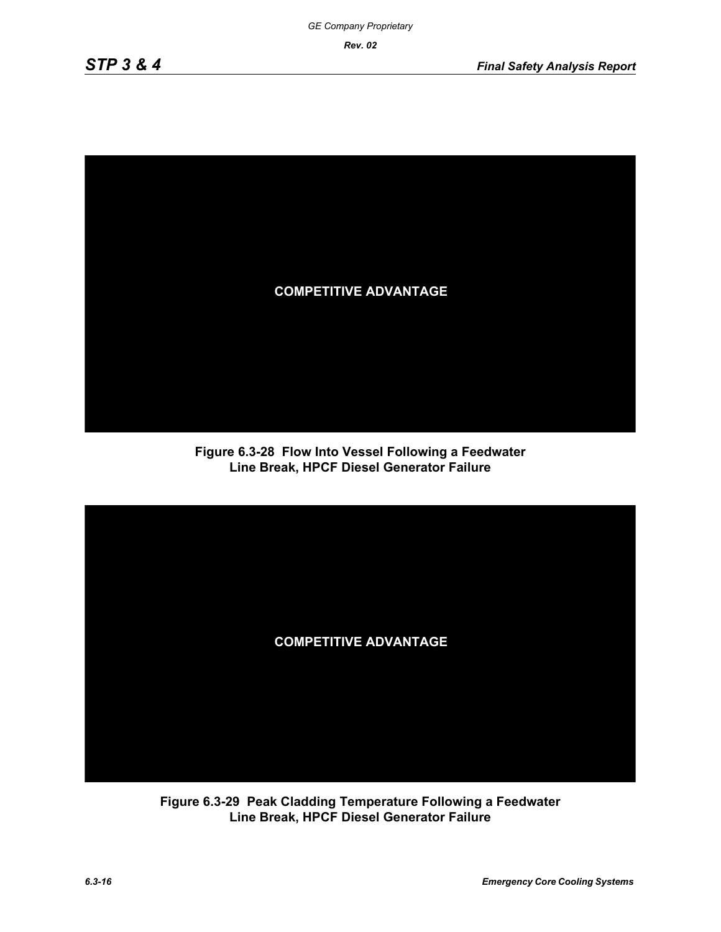

**Figure 6.3-28 Flow Into Vessel Following a Feedwater Line Break, HPCF Diesel Generator Failure**



**Figure 6.3-29 Peak Cladding Temperature Following a Feedwater Line Break, HPCF Diesel Generator Failure**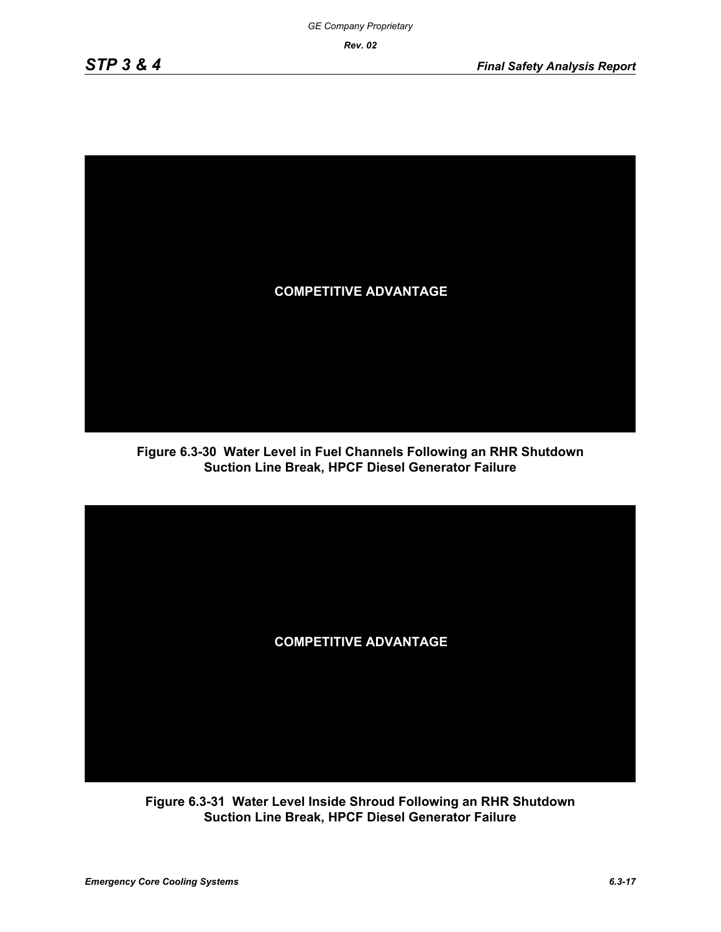

**Figure 6.3-30 Water Level in Fuel Channels Following an RHR Shutdown Suction Line Break, HPCF Diesel Generator Failure**



**Figure 6.3-31 Water Level Inside Shroud Following an RHR Shutdown Suction Line Break, HPCF Diesel Generator Failure**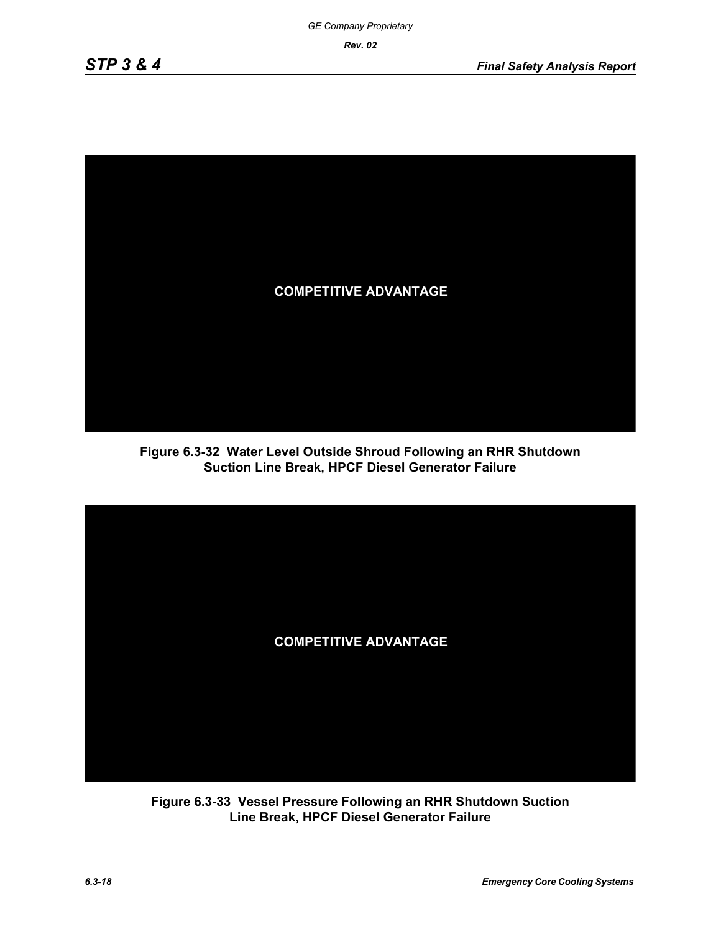

**Figure 6.3-32 Water Level Outside Shroud Following an RHR Shutdown Suction Line Break, HPCF Diesel Generator Failure**



**Figure 6.3-33 Vessel Pressure Following an RHR Shutdown Suction Line Break, HPCF Diesel Generator Failure**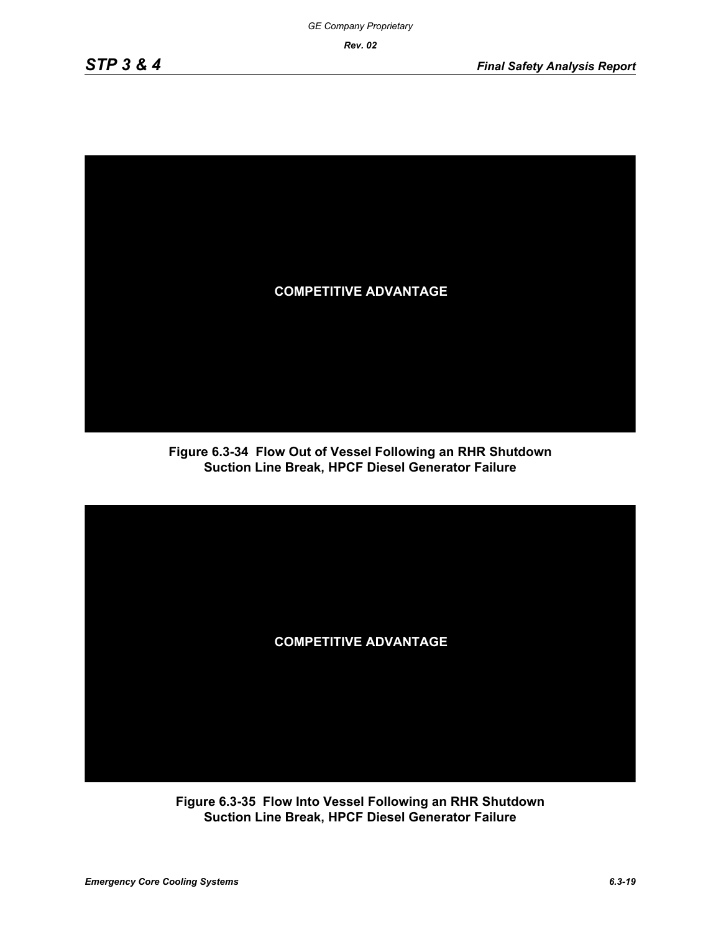

**Figure 6.3-34 Flow Out of Vessel Following an RHR Shutdown Suction Line Break, HPCF Diesel Generator Failure**



**Figure 6.3-35 Flow Into Vessel Following an RHR Shutdown Suction Line Break, HPCF Diesel Generator Failure**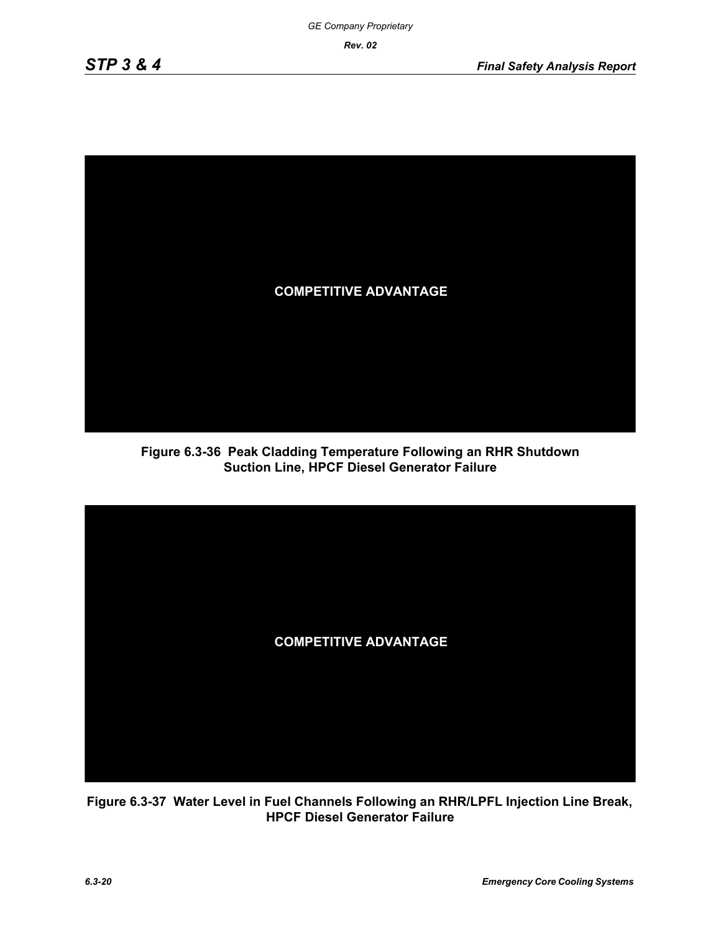

**Figure 6.3-36 Peak Cladding Temperature Following an RHR Shutdown Suction Line, HPCF Diesel Generator Failure**



**Figure 6.3-37 Water Level in Fuel Channels Following an RHR/LPFL Injection Line Break, HPCF Diesel Generator Failure**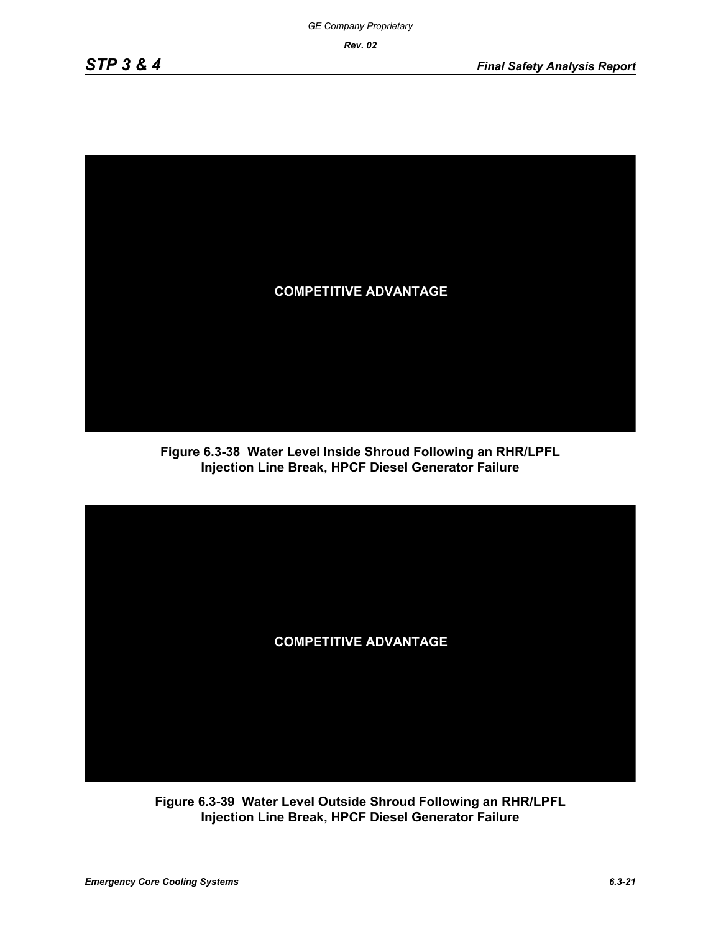

**Figure 6.3-38 Water Level Inside Shroud Following an RHR/LPFL Injection Line Break, HPCF Diesel Generator Failure**



**Figure 6.3-39 Water Level Outside Shroud Following an RHR/LPFL Injection Line Break, HPCF Diesel Generator Failure**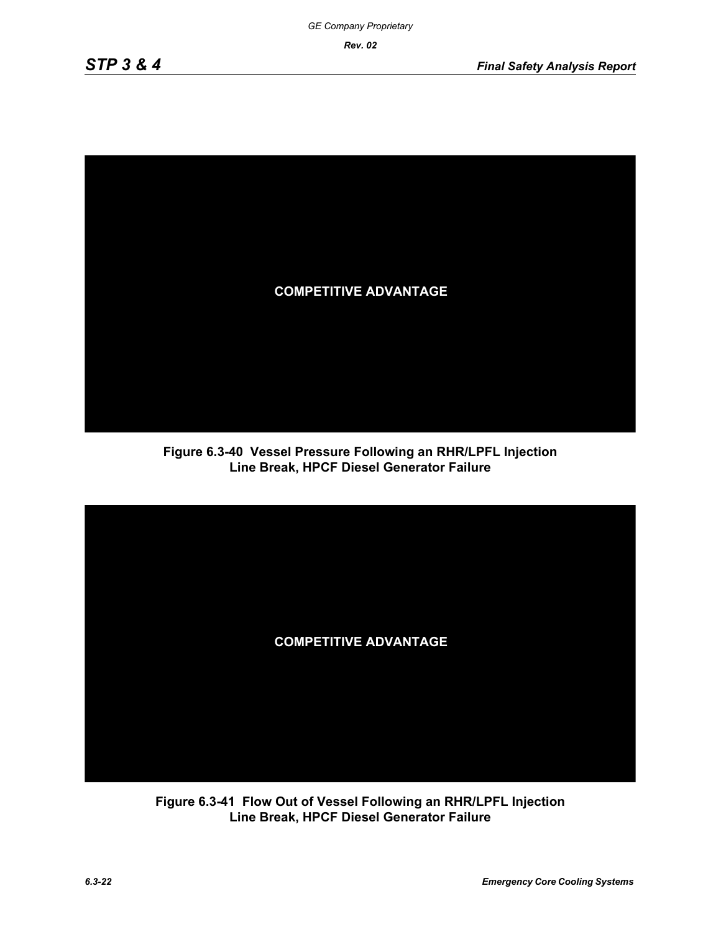

**Figure 6.3-40 Vessel Pressure Following an RHR/LPFL Injection Line Break, HPCF Diesel Generator Failure**



**Figure 6.3-41 Flow Out of Vessel Following an RHR/LPFL Injection Line Break, HPCF Diesel Generator Failure**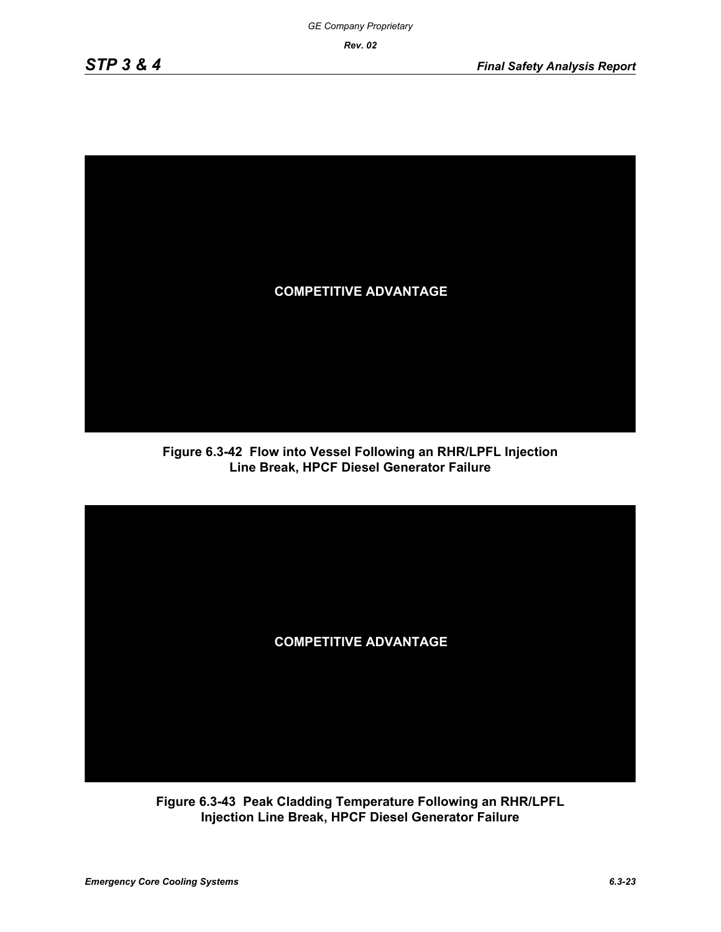

**Figure 6.3-42 Flow into Vessel Following an RHR/LPFL Injection Line Break, HPCF Diesel Generator Failure**



**Figure 6.3-43 Peak Cladding Temperature Following an RHR/LPFL Injection Line Break, HPCF Diesel Generator Failure**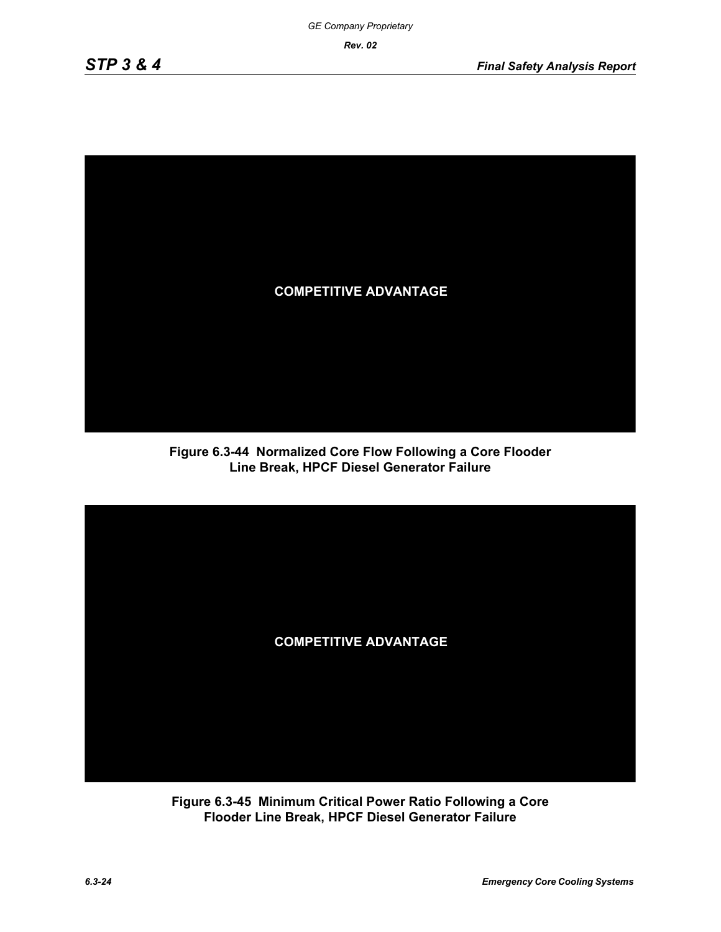

**Figure 6.3-44 Normalized Core Flow Following a Core Flooder Line Break, HPCF Diesel Generator Failure**



**Figure 6.3-45 Minimum Critical Power Ratio Following a Core Flooder Line Break, HPCF Diesel Generator Failure**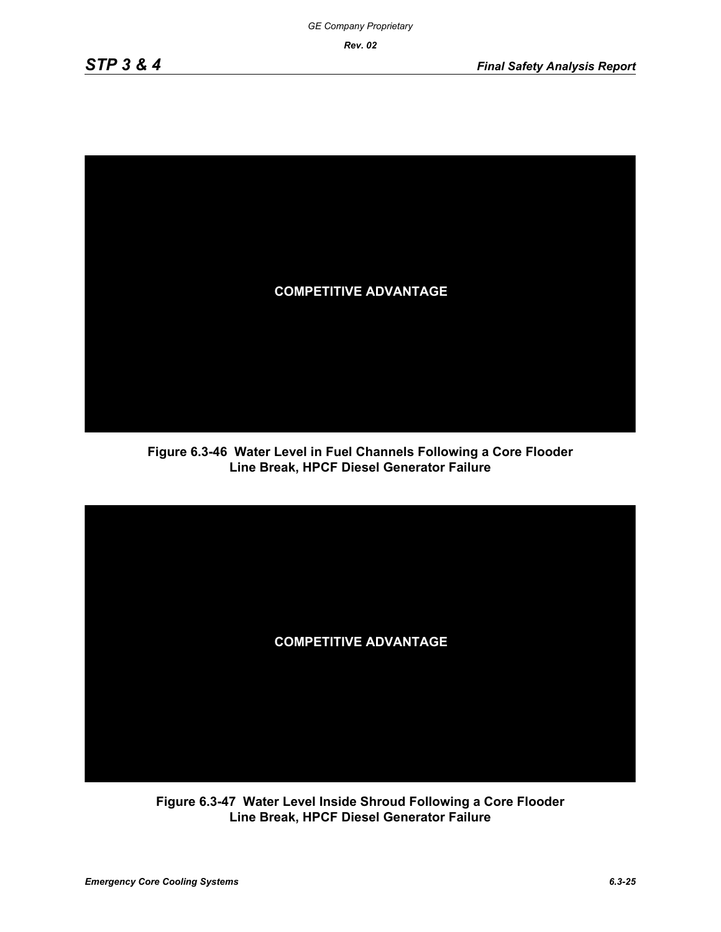

**Figure 6.3-46 Water Level in Fuel Channels Following a Core Flooder Line Break, HPCF Diesel Generator Failure**



**Figure 6.3-47 Water Level Inside Shroud Following a Core Flooder Line Break, HPCF Diesel Generator Failure**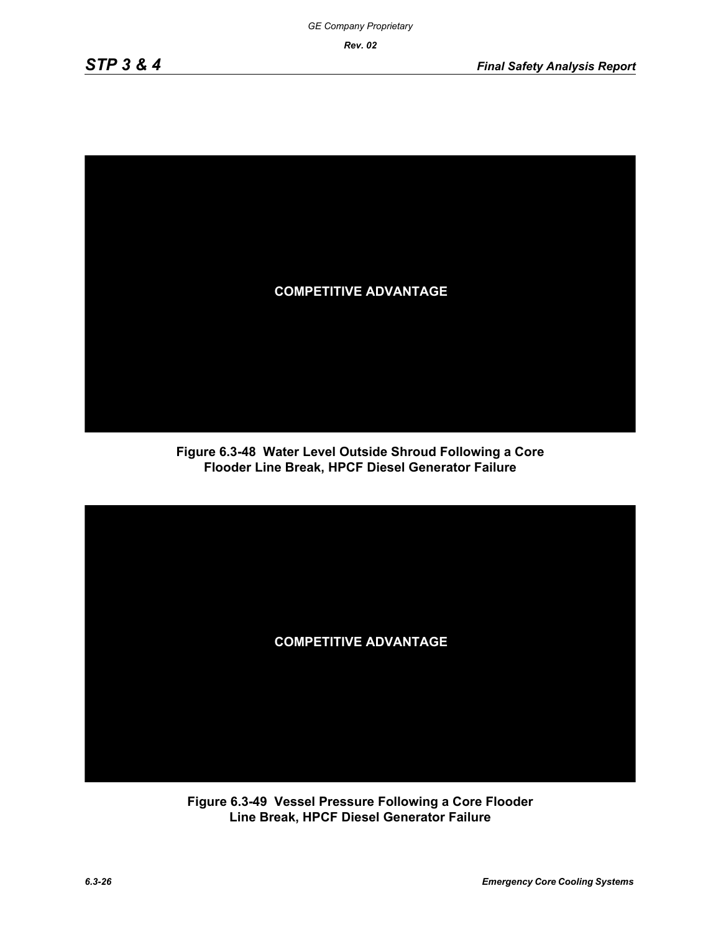

**Figure 6.3-48 Water Level Outside Shroud Following a Core Flooder Line Break, HPCF Diesel Generator Failure**



**Figure 6.3-49 Vessel Pressure Following a Core Flooder Line Break, HPCF Diesel Generator Failure**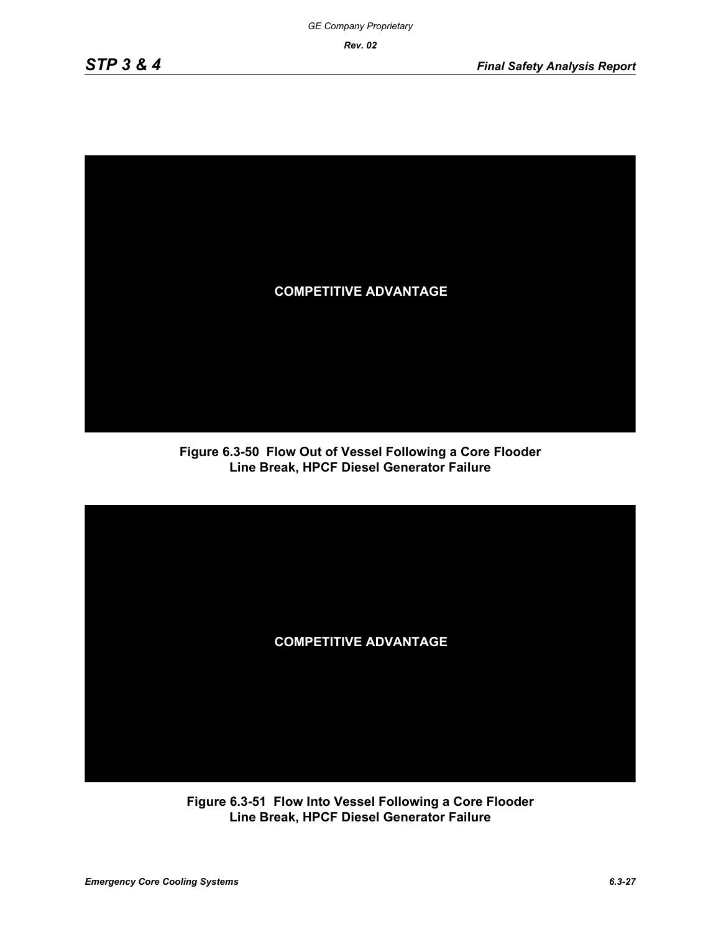

**Figure 6.3-50 Flow Out of Vessel Following a Core Flooder Line Break, HPCF Diesel Generator Failure**



**Figure 6.3-51 Flow Into Vessel Following a Core Flooder Line Break, HPCF Diesel Generator Failure**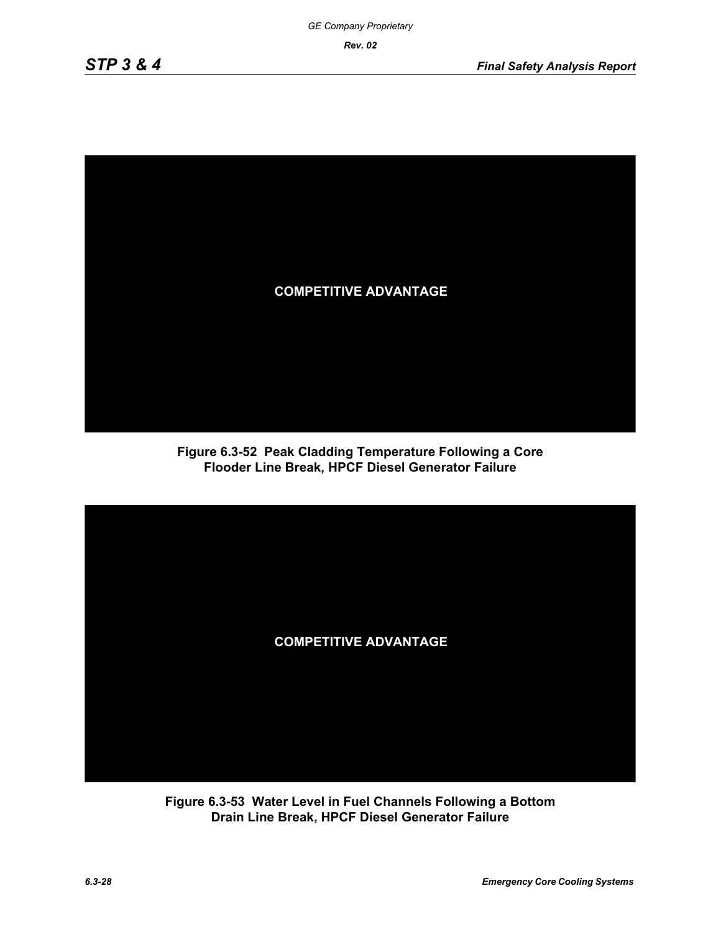

**Figure 6.3-52 Peak Cladding Temperature Following a Core Flooder Line Break, HPCF Diesel Generator Failure**



**Figure 6.3-53 Water Level in Fuel Channels Following a Bottom Drain Line Break, HPCF Diesel Generator Failure**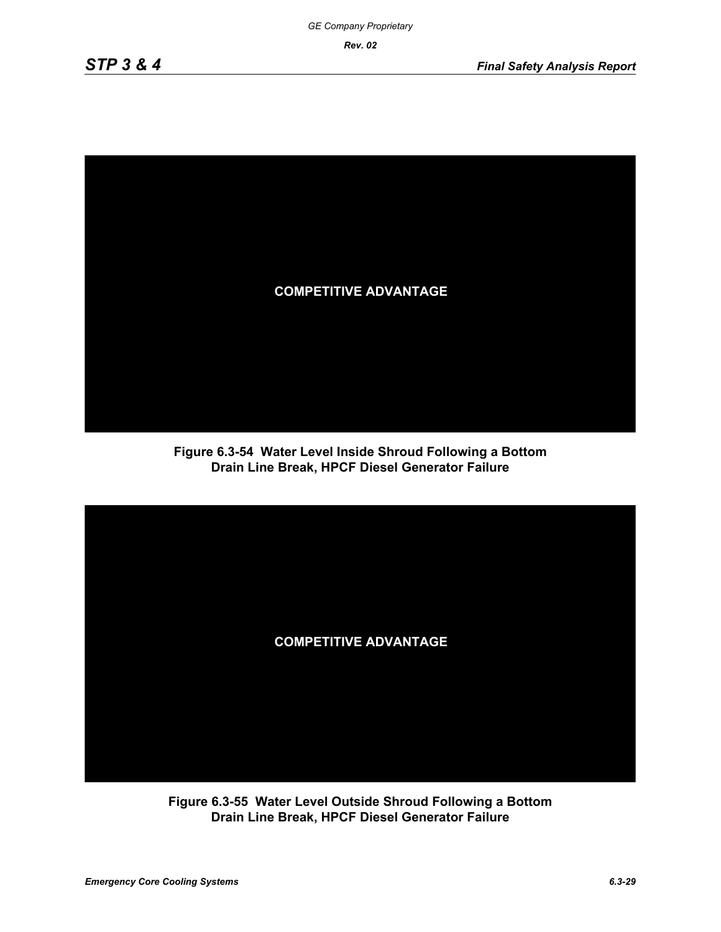

**Figure 6.3-54 Water Level Inside Shroud Following a Bottom Drain Line Break, HPCF Diesel Generator Failure**



**Figure 6.3-55 Water Level Outside Shroud Following a Bottom Drain Line Break, HPCF Diesel Generator Failure**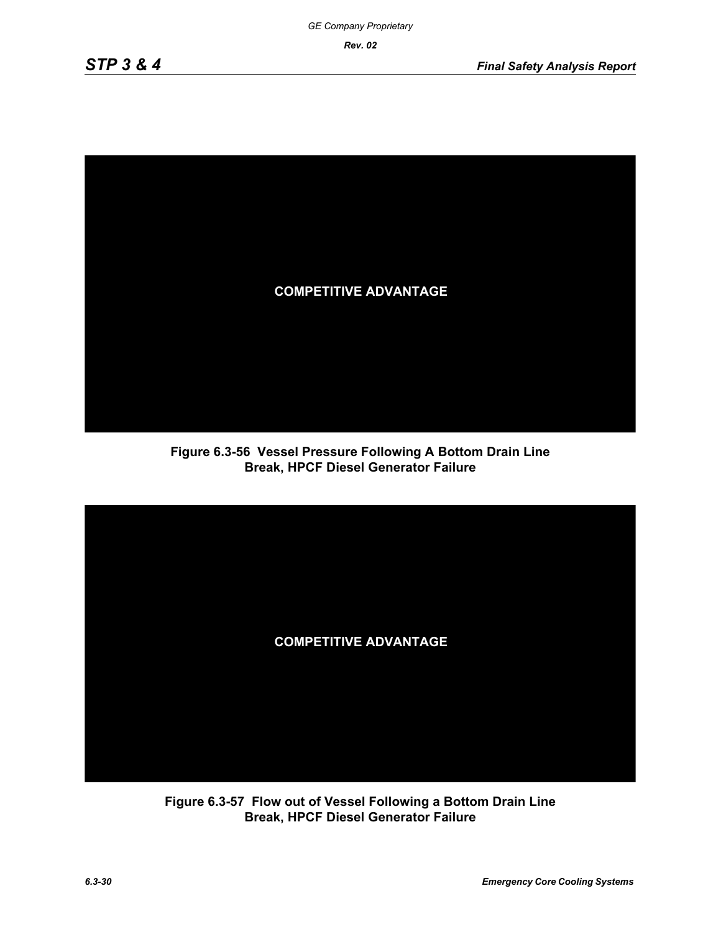

**Figure 6.3-56 Vessel Pressure Following A Bottom Drain Line Break, HPCF Diesel Generator Failure**



**Figure 6.3-57 Flow out of Vessel Following a Bottom Drain Line Break, HPCF Diesel Generator Failure**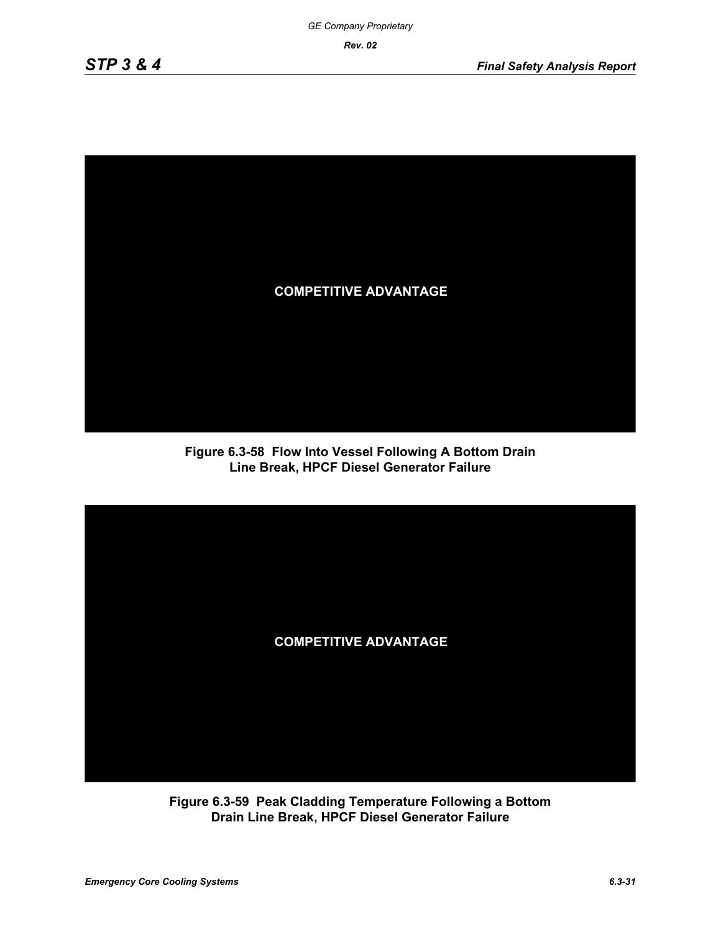

**Figure 6.3-58 Flow Into Vessel Following A Bottom Drain Line Break, HPCF Diesel Generator Failure**



**Figure 6.3-59 Peak Cladding Temperature Following a Bottom Drain Line Break, HPCF Diesel Generator Failure**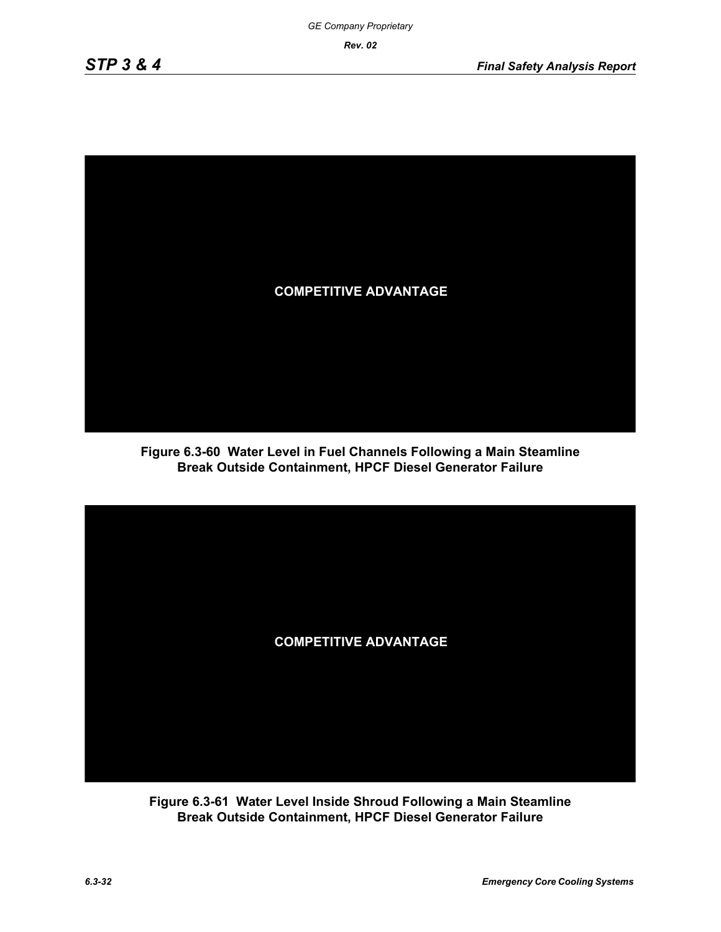

**Figure 6.3-60 Water Level in Fuel Channels Following a Main Steamline Break Outside Containment, HPCF Diesel Generator Failure**



**Figure 6.3-61 Water Level Inside Shroud Following a Main Steamline Break Outside Containment, HPCF Diesel Generator Failure**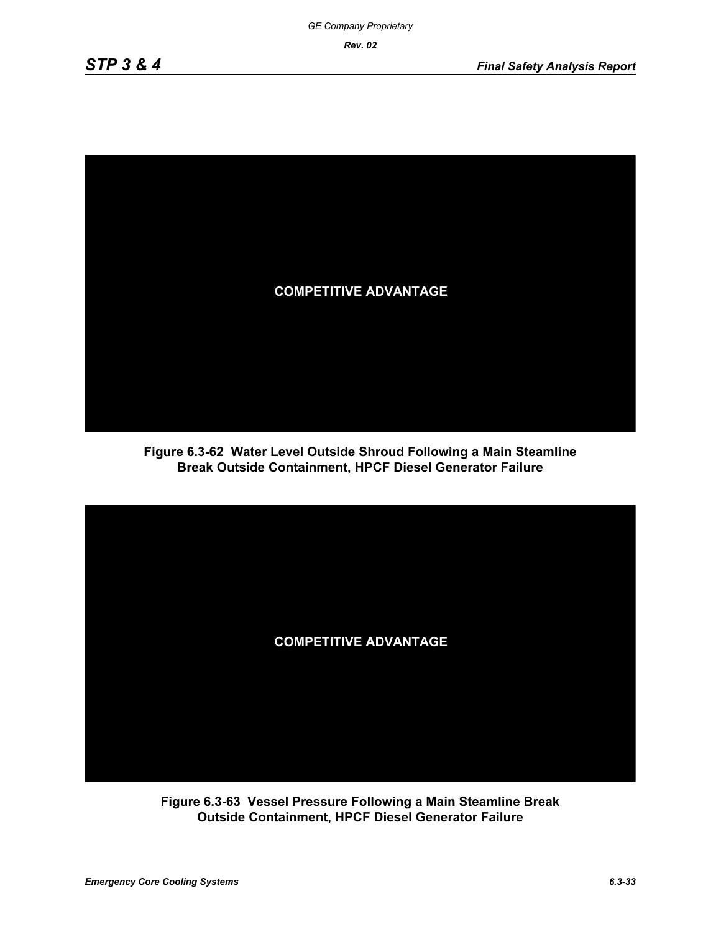

**Figure 6.3-62 Water Level Outside Shroud Following a Main Steamline Break Outside Containment, HPCF Diesel Generator Failure**



**Figure 6.3-63 Vessel Pressure Following a Main Steamline Break Outside Containment, HPCF Diesel Generator Failure**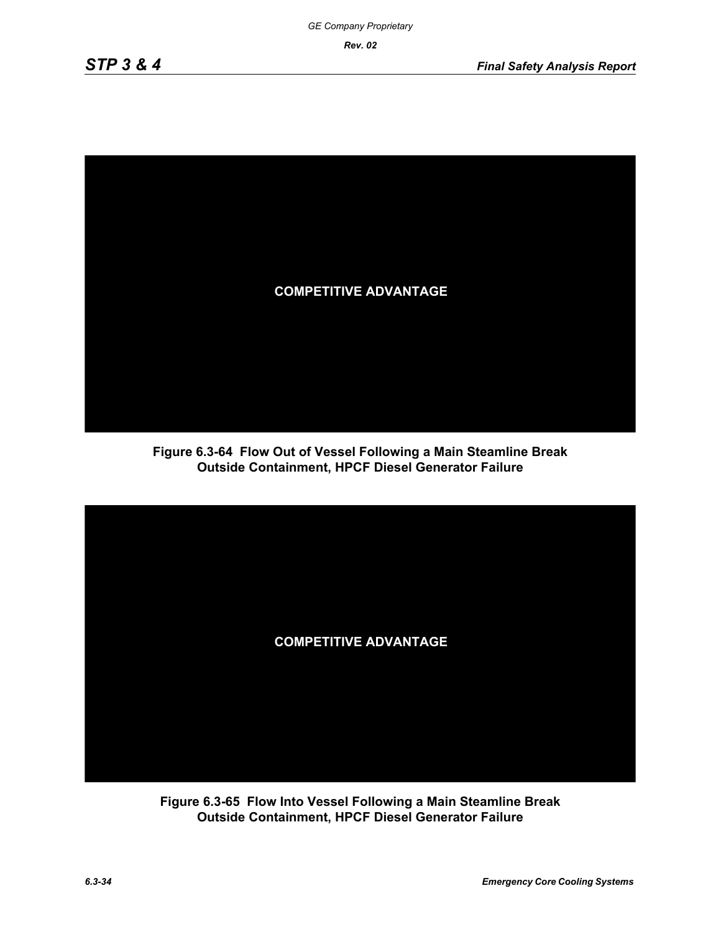

**Figure 6.3-64 Flow Out of Vessel Following a Main Steamline Break Outside Containment, HPCF Diesel Generator Failure**



**Figure 6.3-65 Flow Into Vessel Following a Main Steamline Break Outside Containment, HPCF Diesel Generator Failure**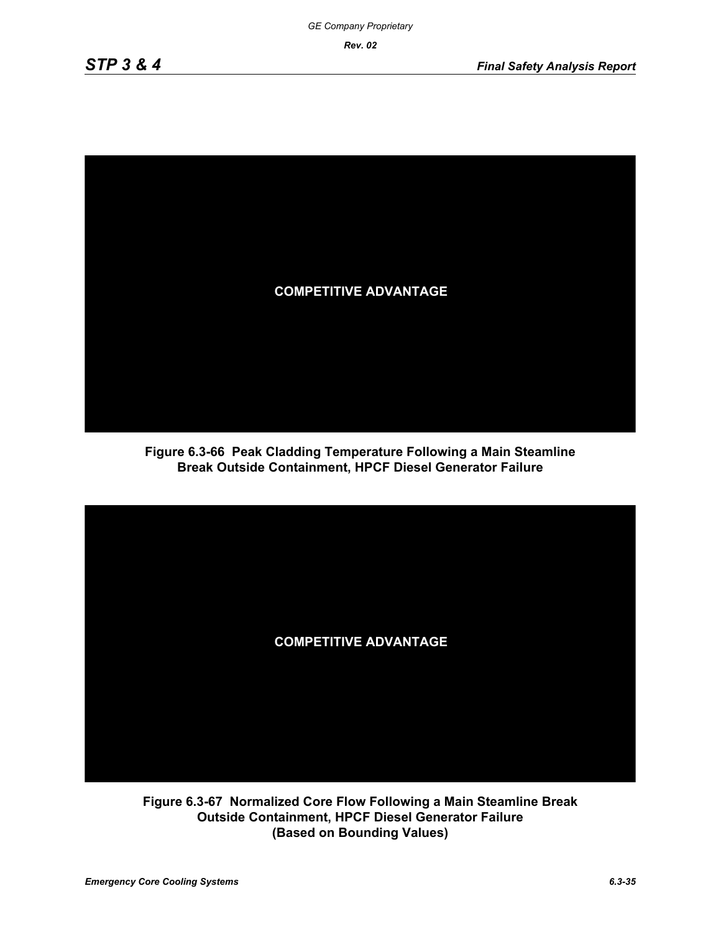

**Figure 6.3-66 Peak Cladding Temperature Following a Main Steamline Break Outside Containment, HPCF Diesel Generator Failure**



**Figure 6.3-67 Normalized Core Flow Following a Main Steamline Break Outside Containment, HPCF Diesel Generator Failure (Based on Bounding Values)**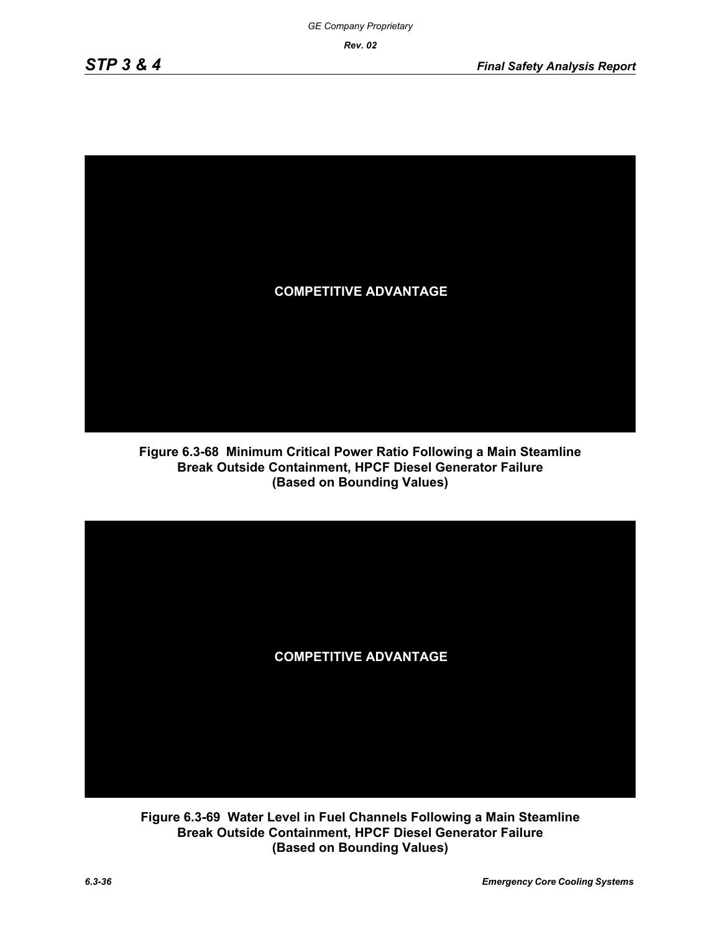

**Figure 6.3-68 Minimum Critical Power Ratio Following a Main Steamline Break Outside Containment, HPCF Diesel Generator Failure (Based on Bounding Values)**



**Figure 6.3-69 Water Level in Fuel Channels Following a Main Steamline Break Outside Containment, HPCF Diesel Generator Failure (Based on Bounding Values)**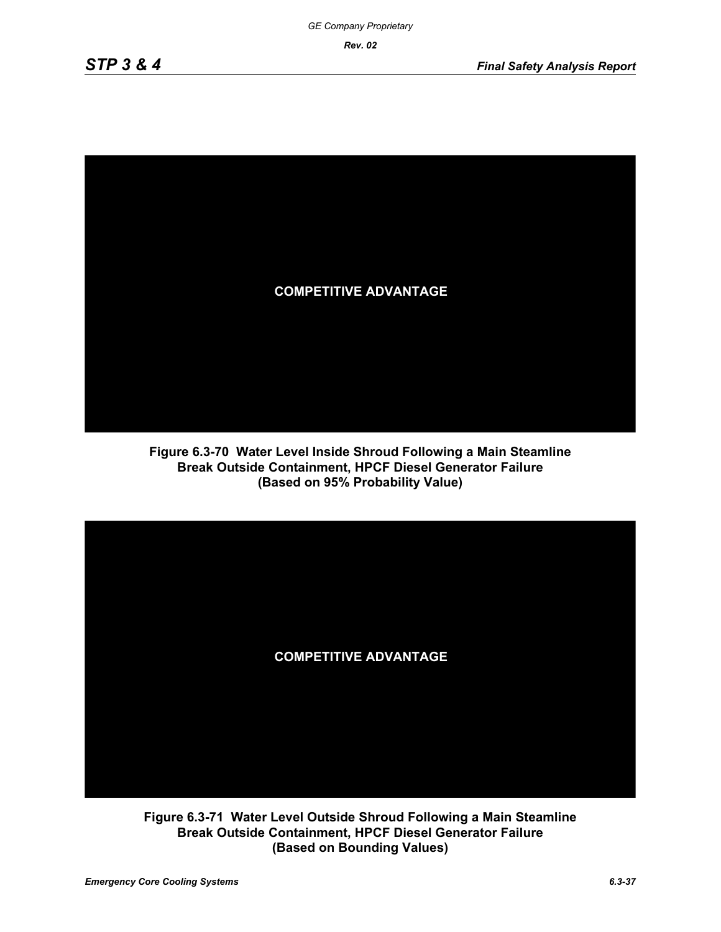

**Figure 6.3-70 Water Level Inside Shroud Following a Main Steamline Break Outside Containment, HPCF Diesel Generator Failure (Based on 95% Probability Value)**



**Figure 6.3-71 Water Level Outside Shroud Following a Main Steamline Break Outside Containment, HPCF Diesel Generator Failure (Based on Bounding Values)**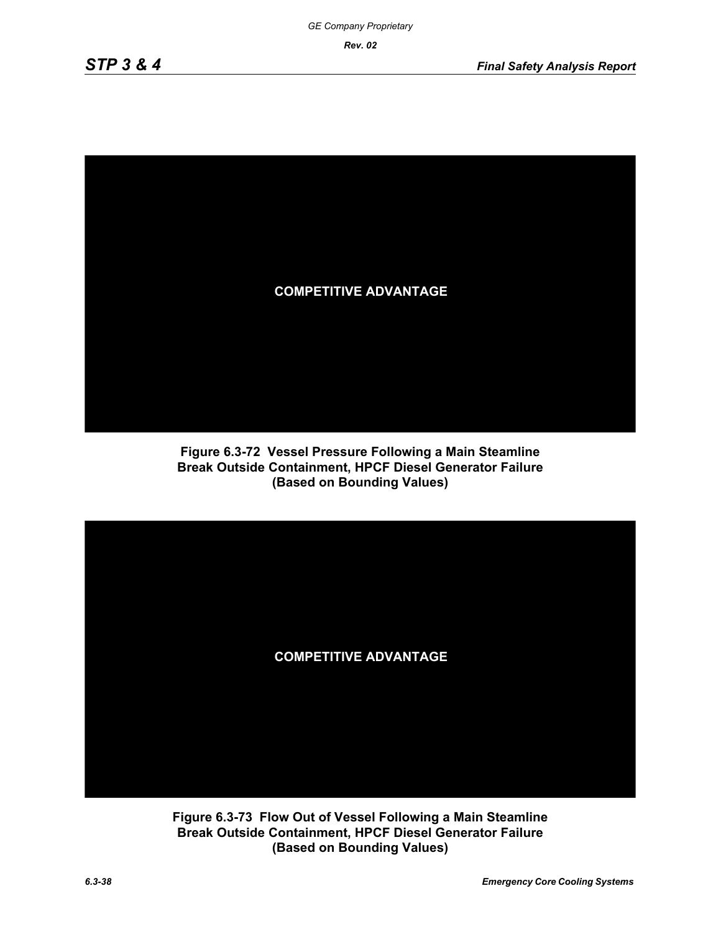

**Figure 6.3-72 Vessel Pressure Following a Main Steamline Break Outside Containment, HPCF Diesel Generator Failure (Based on Bounding Values)**



**Figure 6.3-73 Flow Out of Vessel Following a Main Steamline Break Outside Containment, HPCF Diesel Generator Failure (Based on Bounding Values)**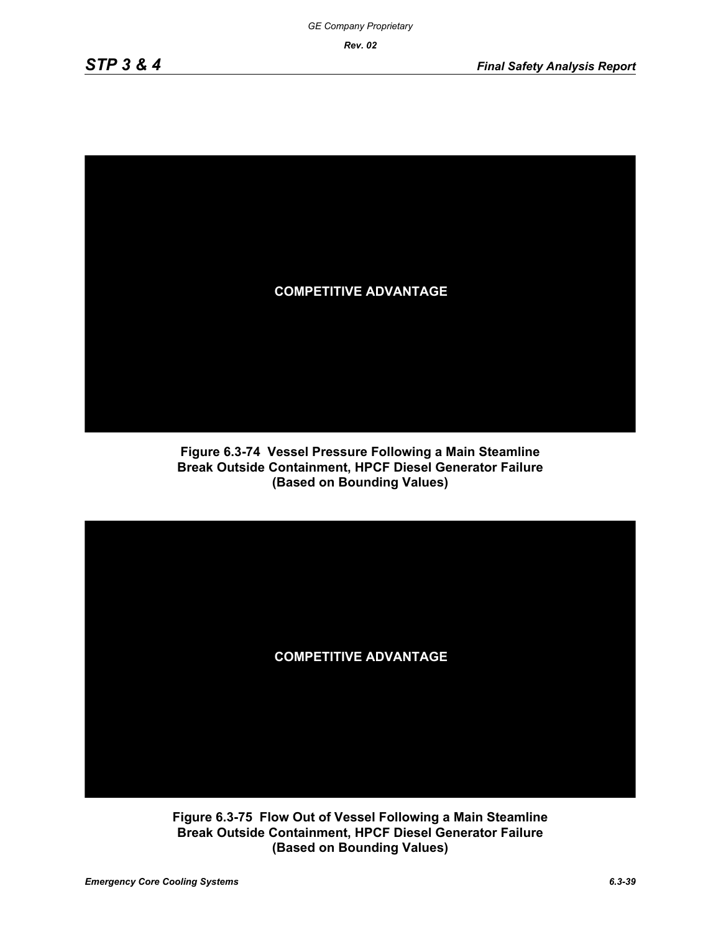

**Figure 6.3-74 Vessel Pressure Following a Main Steamline Break Outside Containment, HPCF Diesel Generator Failure (Based on Bounding Values)**



**Figure 6.3-75 Flow Out of Vessel Following a Main Steamline Break Outside Containment, HPCF Diesel Generator Failure (Based on Bounding Values)**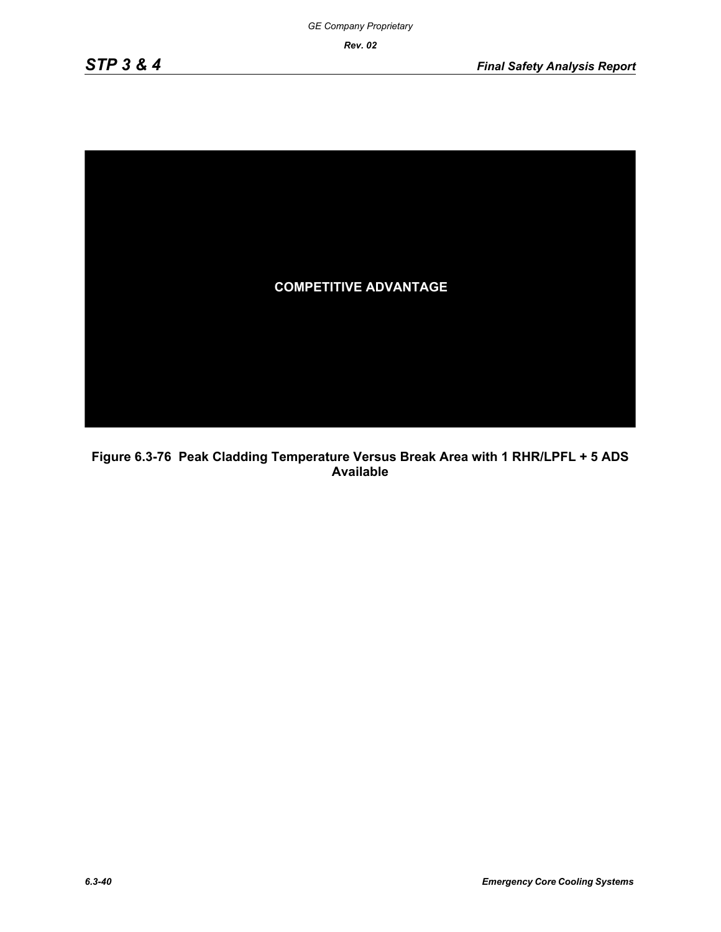

**Figure 6.3-76 Peak Cladding Temperature Versus Break Area with 1 RHR/LPFL + 5 ADS Available**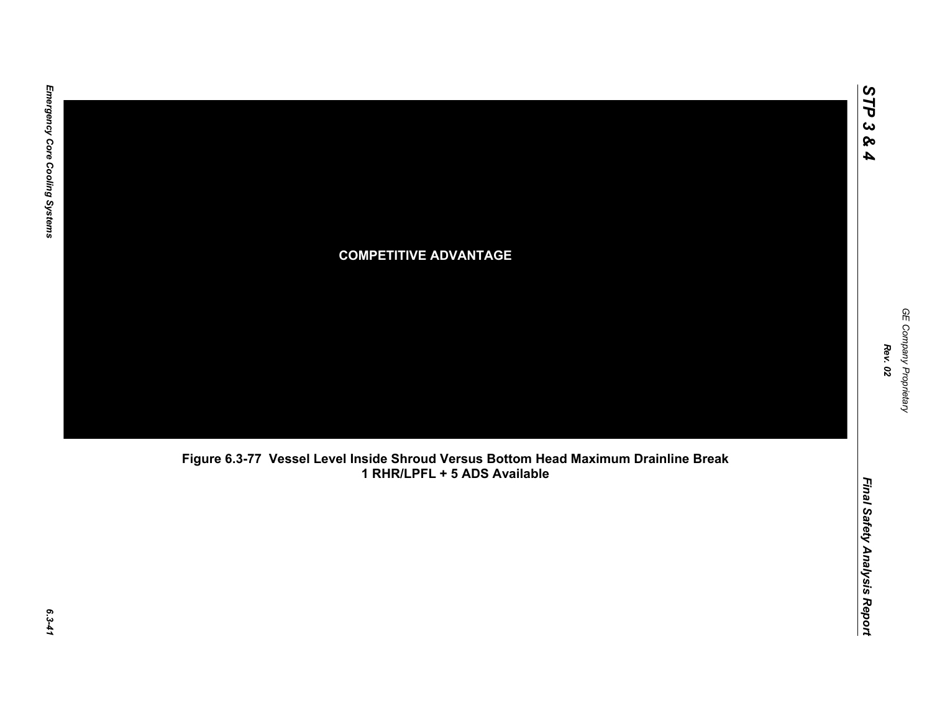

**Figure 6.3-77 Vessel Level Inside Shroud Versus Bottom Head Maximum Drainline Break 1 RHR/LPFL + 5 ADS Available**

*STP 3 & 4*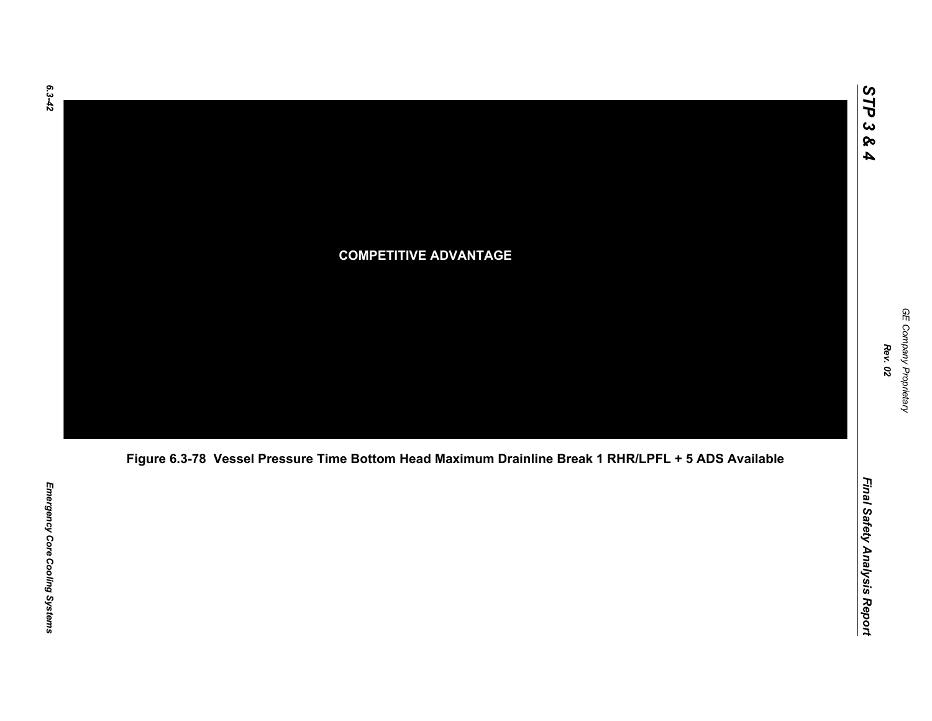

# **COMPETITIVE ADVANTAGE**



*STP 3 & 4*